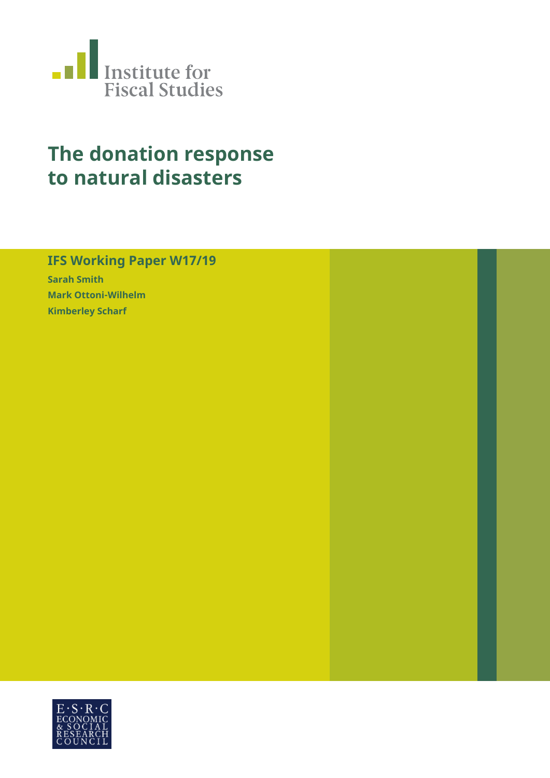

# **The donation response to natural disasters**

# **IFS Working Paper W17/19**

**Sarah Smith Mark Ottoni-Wilhelm Kimberley Scharf**

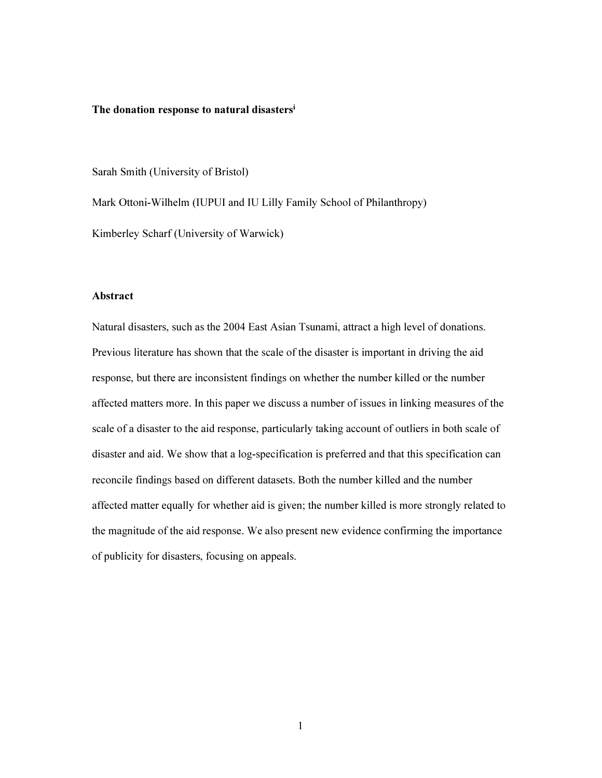#### The donation response to natural disasters<sup>i</sup>

Sarah Smith (University of Bristol)

Mark Ottoni-Wilhelm (IUPUI and IU Lilly Family School of Philanthropy)

Kimberley Scharf (University of Warwick)

#### Abstract

Natural disasters, such as the 2004 East Asian Tsunami, attract a high level of donations. Previous literature has shown that the scale of the disaster is important in driving the aid response, but there are inconsistent findings on whether the number killed or the number affected matters more. In this paper we discuss a number of issues in linking measures of the scale of a disaster to the aid response, particularly taking account of outliers in both scale of disaster and aid. We show that a log-specification is preferred and that this specification can reconcile findings based on different datasets. Both the number killed and the number affected matter equally for whether aid is given; the number killed is more strongly related to the magnitude of the aid response. We also present new evidence confirming the importance of publicity for disasters, focusing on appeals.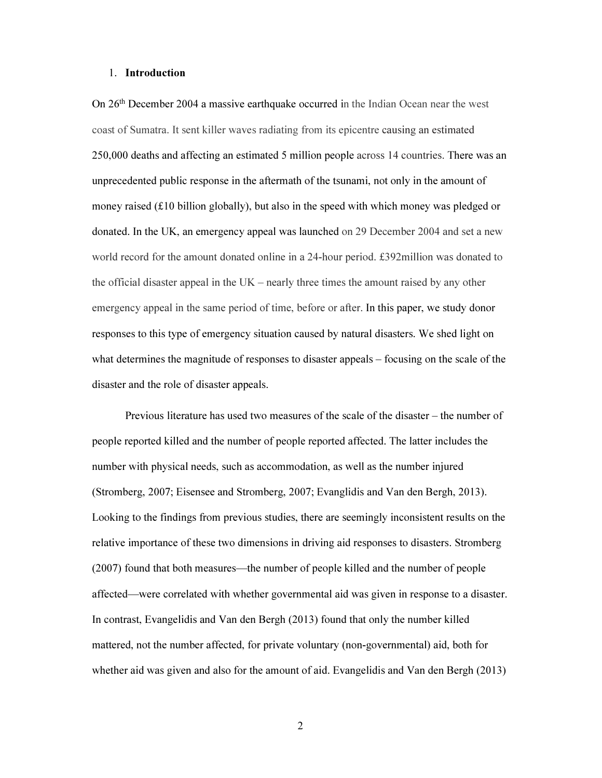#### 1. Introduction

On 26th December 2004 a massive earthquake occurred in the Indian Ocean near the west coast of Sumatra. It sent killer waves radiating from its epicentre causing an estimated 250,000 deaths and affecting an estimated 5 million people across 14 countries. There was an unprecedented public response in the aftermath of the tsunami, not only in the amount of money raised  $(E10 \text{ billion globally})$ , but also in the speed with which money was pledged or donated. In the UK, an emergency appeal was launched on 29 December 2004 and set a new world record for the amount donated online in a 24-hour period. £392million was donated to the official disaster appeal in the UK – nearly three times the amount raised by any other emergency appeal in the same period of time, before or after. In this paper, we study donor responses to this type of emergency situation caused by natural disasters. We shed light on what determines the magnitude of responses to disaster appeals – focusing on the scale of the disaster and the role of disaster appeals.

Previous literature has used two measures of the scale of the disaster – the number of people reported killed and the number of people reported affected. The latter includes the number with physical needs, such as accommodation, as well as the number injured (Stromberg, 2007; Eisensee and Stromberg, 2007; Evanglidis and Van den Bergh, 2013). Looking to the findings from previous studies, there are seemingly inconsistent results on the relative importance of these two dimensions in driving aid responses to disasters. Stromberg (2007) found that both measures—the number of people killed and the number of people affected—were correlated with whether governmental aid was given in response to a disaster. In contrast, Evangelidis and Van den Bergh (2013) found that only the number killed mattered, not the number affected, for private voluntary (non-governmental) aid, both for whether aid was given and also for the amount of aid. Evangelidis and Van den Bergh (2013)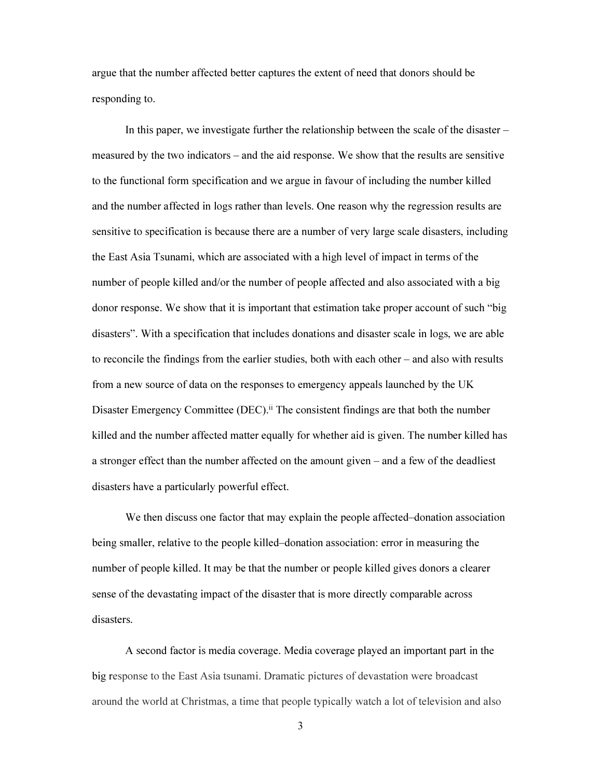argue that the number affected better captures the extent of need that donors should be responding to.

In this paper, we investigate further the relationship between the scale of the disaster – measured by the two indicators – and the aid response. We show that the results are sensitive to the functional form specification and we argue in favour of including the number killed and the number affected in logs rather than levels. One reason why the regression results are sensitive to specification is because there are a number of very large scale disasters, including the East Asia Tsunami, which are associated with a high level of impact in terms of the number of people killed and/or the number of people affected and also associated with a big donor response. We show that it is important that estimation take proper account of such "big disasters". With a specification that includes donations and disaster scale in logs, we are able to reconcile the findings from the earlier studies, both with each other – and also with results from a new source of data on the responses to emergency appeals launched by the UK Disaster Emergency Committee (DEC).<sup>ii</sup> The consistent findings are that both the number killed and the number affected matter equally for whether aid is given. The number killed has a stronger effect than the number affected on the amount given – and a few of the deadliest disasters have a particularly powerful effect.

We then discuss one factor that may explain the people affected–donation association being smaller, relative to the people killed–donation association: error in measuring the number of people killed. It may be that the number or people killed gives donors a clearer sense of the devastating impact of the disaster that is more directly comparable across disasters.

A second factor is media coverage. Media coverage played an important part in the big response to the East Asia tsunami. Dramatic pictures of devastation were broadcast around the world at Christmas, a time that people typically watch a lot of television and also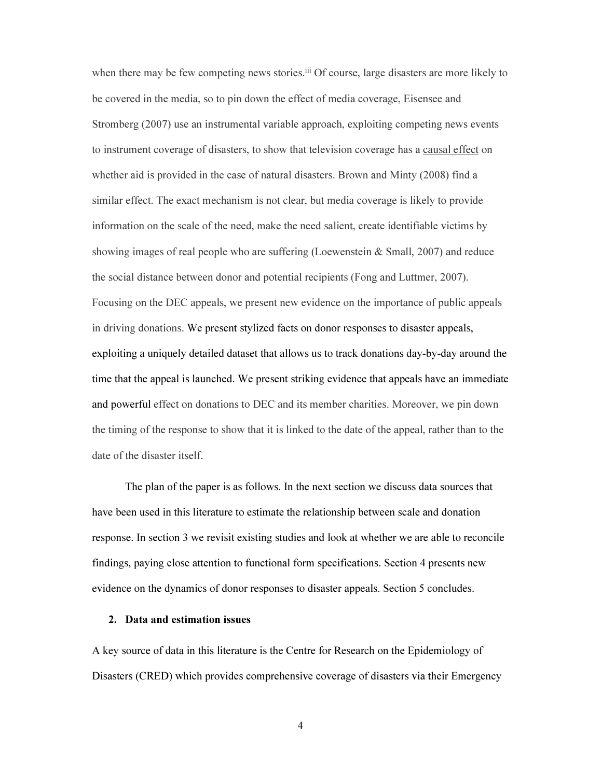when there may be few competing news stories.<sup>iii</sup> Of course, large disasters are more likely to be covered in the media, so to pin down the effect of media coverage, Eisensee and Stromberg (2007) use an instrumental variable approach, exploiting competing news events to instrument coverage of disasters, to show that television coverage has a causal effect on whether aid is provided in the case of natural disasters. Brown and Minty (2008) find a similar effect. The exact mechanism is not clear, but media coverage is likely to provide information on the scale of the need, make the need salient, create identifiable victims by showing images of real people who are suffering (Loewenstein  $&$  Small, 2007) and reduce the social distance between donor and potential recipients (Fong and Luttmer, 2007). Focusing on the DEC appeals, we present new evidence on the importance of public appeals in driving donations. We present stylized facts on donor responses to disaster appeals, exploiting a uniquely detailed dataset that allows us to track donations day-by-day around the time that the appeal is launched. We present striking evidence that appeals have an immediate and powerful effect on donations to DEC and its member charities. Moreover, we pin down the timing of the response to show that it is linked to the date of the appeal, rather than to the date of the disaster itself.

The plan of the paper is as follows. In the next section we discuss data sources that have been used in this literature to estimate the relationship between scale and donation response. In section 3 we revisit existing studies and look at whether we are able to reconcile findings, paying close attention to functional form specifications. Section 4 presents new evidence on the dynamics of donor responses to disaster appeals. Section 5 concludes.

#### 2. Data and estimation issues

A key source of data in this literature is the Centre for Research on the Epidemiology of Disasters (CRED) which provides comprehensive coverage of disasters via their Emergency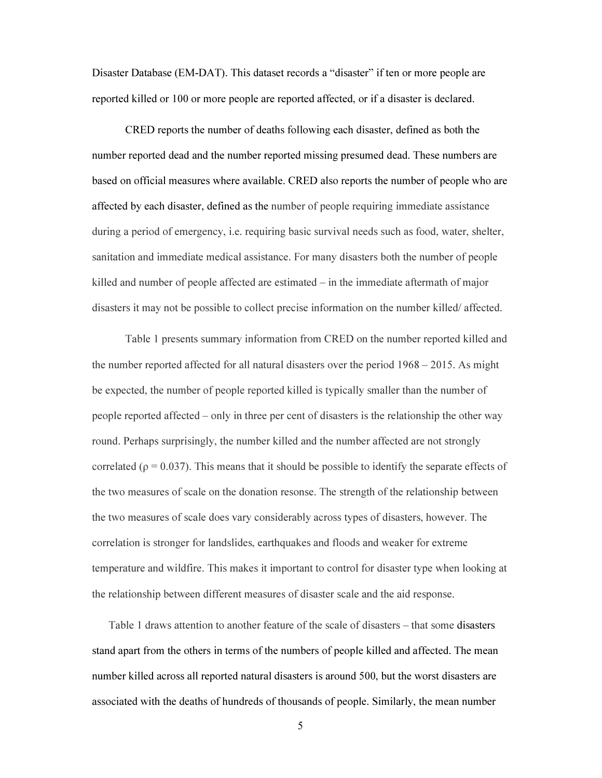Disaster Database (EM-DAT). This dataset records a "disaster" if ten or more people are reported killed or 100 or more people are reported affected, or if a disaster is declared.

CRED reports the number of deaths following each disaster, defined as both the number reported dead and the number reported missing presumed dead. These numbers are based on official measures where available. CRED also reports the number of people who are affected by each disaster, defined as the number of people requiring immediate assistance during a period of emergency, i.e. requiring basic survival needs such as food, water, shelter, sanitation and immediate medical assistance. For many disasters both the number of people killed and number of people affected are estimated – in the immediate aftermath of major disasters it may not be possible to collect precise information on the number killed/ affected.

Table 1 presents summary information from CRED on the number reported killed and the number reported affected for all natural disasters over the period 1968 – 2015. As might be expected, the number of people reported killed is typically smaller than the number of people reported affected – only in three per cent of disasters is the relationship the other way round. Perhaps surprisingly, the number killed and the number affected are not strongly correlated ( $\rho = 0.037$ ). This means that it should be possible to identify the separate effects of the two measures of scale on the donation resonse. The strength of the relationship between the two measures of scale does vary considerably across types of disasters, however. The correlation is stronger for landslides, earthquakes and floods and weaker for extreme temperature and wildfire. This makes it important to control for disaster type when looking at the relationship between different measures of disaster scale and the aid response.

Table 1 draws attention to another feature of the scale of disasters – that some disasters stand apart from the others in terms of the numbers of people killed and affected. The mean number killed across all reported natural disasters is around 500, but the worst disasters are associated with the deaths of hundreds of thousands of people. Similarly, the mean number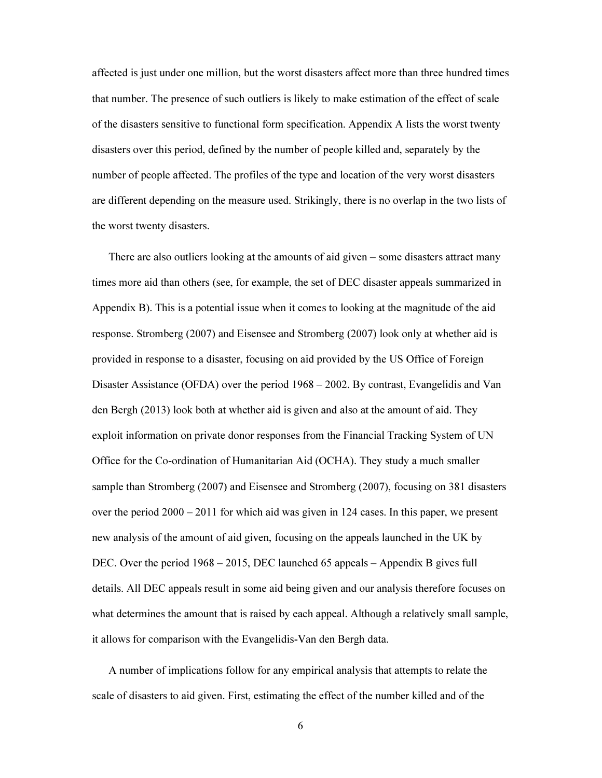affected is just under one million, but the worst disasters affect more than three hundred times that number. The presence of such outliers is likely to make estimation of the effect of scale of the disasters sensitive to functional form specification. Appendix A lists the worst twenty disasters over this period, defined by the number of people killed and, separately by the number of people affected. The profiles of the type and location of the very worst disasters are different depending on the measure used. Strikingly, there is no overlap in the two lists of the worst twenty disasters.

There are also outliers looking at the amounts of aid given – some disasters attract many times more aid than others (see, for example, the set of DEC disaster appeals summarized in Appendix B). This is a potential issue when it comes to looking at the magnitude of the aid response. Stromberg (2007) and Eisensee and Stromberg (2007) look only at whether aid is provided in response to a disaster, focusing on aid provided by the US Office of Foreign Disaster Assistance (OFDA) over the period 1968 – 2002. By contrast, Evangelidis and Van den Bergh (2013) look both at whether aid is given and also at the amount of aid. They exploit information on private donor responses from the Financial Tracking System of UN Office for the Co-ordination of Humanitarian Aid (OCHA). They study a much smaller sample than Stromberg (2007) and Eisensee and Stromberg (2007), focusing on 381 disasters over the period 2000 – 2011 for which aid was given in 124 cases. In this paper, we present new analysis of the amount of aid given, focusing on the appeals launched in the UK by DEC. Over the period 1968 – 2015, DEC launched 65 appeals – Appendix B gives full details. All DEC appeals result in some aid being given and our analysis therefore focuses on what determines the amount that is raised by each appeal. Although a relatively small sample, it allows for comparison with the Evangelidis-Van den Bergh data.

A number of implications follow for any empirical analysis that attempts to relate the scale of disasters to aid given. First, estimating the effect of the number killed and of the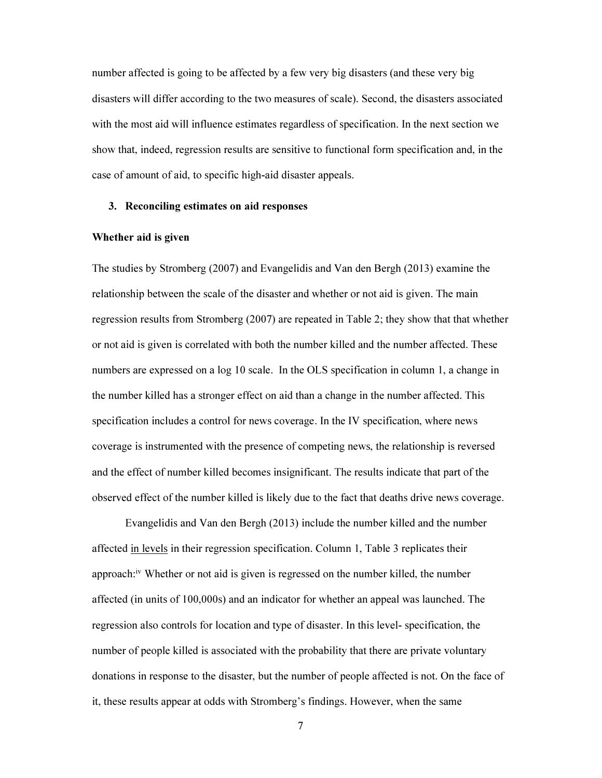number affected is going to be affected by a few very big disasters (and these very big disasters will differ according to the two measures of scale). Second, the disasters associated with the most aid will influence estimates regardless of specification. In the next section we show that, indeed, regression results are sensitive to functional form specification and, in the case of amount of aid, to specific high-aid disaster appeals.

#### 3. Reconciling estimates on aid responses

#### Whether aid is given

The studies by Stromberg (2007) and Evangelidis and Van den Bergh (2013) examine the relationship between the scale of the disaster and whether or not aid is given. The main regression results from Stromberg (2007) are repeated in Table 2; they show that that whether or not aid is given is correlated with both the number killed and the number affected. These numbers are expressed on a log 10 scale. In the OLS specification in column 1, a change in the number killed has a stronger effect on aid than a change in the number affected. This specification includes a control for news coverage. In the IV specification, where news coverage is instrumented with the presence of competing news, the relationship is reversed and the effect of number killed becomes insignificant. The results indicate that part of the observed effect of the number killed is likely due to the fact that deaths drive news coverage.

Evangelidis and Van den Bergh (2013) include the number killed and the number affected in levels in their regression specification. Column 1, Table 3 replicates their approach:<sup>iv</sup> Whether or not aid is given is regressed on the number killed, the number affected (in units of 100,000s) and an indicator for whether an appeal was launched. The regression also controls for location and type of disaster. In this level- specification, the number of people killed is associated with the probability that there are private voluntary donations in response to the disaster, but the number of people affected is not. On the face of it, these results appear at odds with Stromberg's findings. However, when the same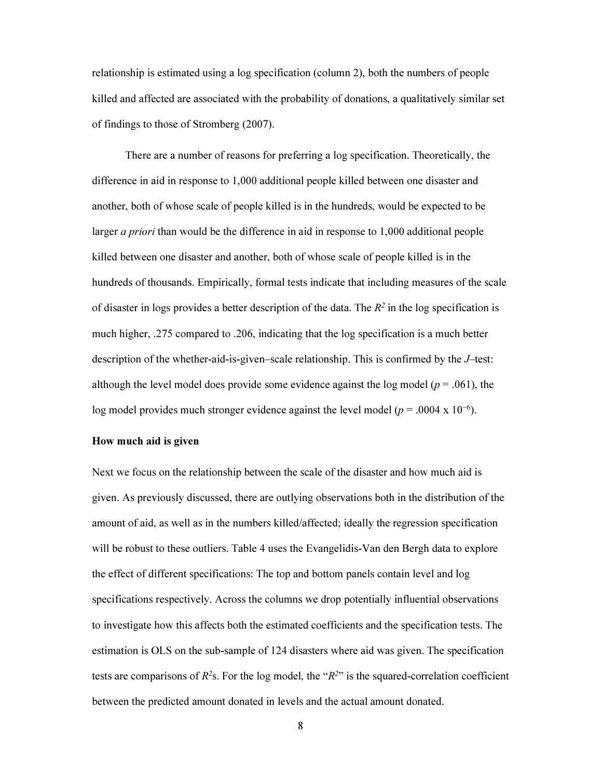relationship is estimated using a log specification (column 2), both the numbers of people killed and affected are associated with the probability of donations, a qualitatively similar set of findings to those of Stromberg (2007).

There are a number of reasons for preferring a log specification. Theoretically, the difference in aid in response to 1,000 additional people killed between one disaster and another, both of whose scale of people killed is in the hundreds, would be expected to be larger *a priori* than would be the difference in aid in response to 1,000 additional people killed between one disaster and another, both of whose scale of people killed is in the hundreds of thousands. Empirically, formal tests indicate that including measures of the scale of disaster in logs provides a better description of the data. The  $R^2$  in the log specification is much higher, .275 compared to .206, indicating that the log specification is a much better description of the whether-aid-is-given–scale relationship. This is confirmed by the J–test: although the level model does provide some evidence against the log model ( $p = .061$ ), the log model provides much stronger evidence against the level model ( $p = .0004 \times 10^{-6}$ ).

#### How much aid is given

Next we focus on the relationship between the scale of the disaster and how much aid is given. As previously discussed, there are outlying observations both in the distribution of the amount of aid, as well as in the numbers killed/affected; ideally the regression specification will be robust to these outliers. Table 4 uses the Evangelidis-Van den Bergh data to explore the effect of different specifications: The top and bottom panels contain level and log specifications respectively. Across the columns we drop potentially influential observations to investigate how this affects both the estimated coefficients and the specification tests. The estimation is OLS on the sub-sample of 124 disasters where aid was given. The specification tests are comparisons of  $R^2$ s. For the log model, the " $R^2$ " is the squared-correlation coefficient between the predicted amount donated in levels and the actual amount donated.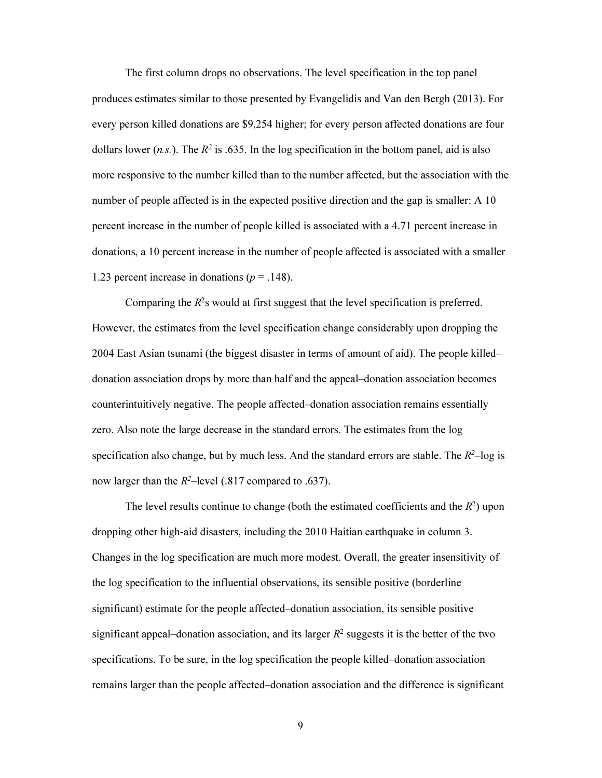The first column drops no observations. The level specification in the top panel produces estimates similar to those presented by Evangelidis and Van den Bergh (2013). For every person killed donations are \$9,254 higher; for every person affected donations are four dollars lower (*n.s.*). The  $R^2$  is .635. In the log specification in the bottom panel, aid is also more responsive to the number killed than to the number affected, but the association with the number of people affected is in the expected positive direction and the gap is smaller: A 10 percent increase in the number of people killed is associated with a 4.71 percent increase in donations, a 10 percent increase in the number of people affected is associated with a smaller 1.23 percent increase in donations ( $p = .148$ ).

Comparing the  $R^2$ s would at first suggest that the level specification is preferred. However, the estimates from the level specification change considerably upon dropping the 2004 East Asian tsunami (the biggest disaster in terms of amount of aid). The people killed– donation association drops by more than half and the appeal–donation association becomes counterintuitively negative. The people affected–donation association remains essentially zero. Also note the large decrease in the standard errors. The estimates from the log specification also change, but by much less. And the standard errors are stable. The  $R^2$ -log is now larger than the  $R^2$ -level (.817 compared to .637).

The level results continue to change (both the estimated coefficients and the  $R^2$ ) upon dropping other high-aid disasters, including the 2010 Haitian earthquake in column 3. Changes in the log specification are much more modest. Overall, the greater insensitivity of the log specification to the influential observations, its sensible positive (borderline significant) estimate for the people affected–donation association, its sensible positive significant appeal–donation association, and its larger  $R^2$  suggests it is the better of the two specifications. To be sure, in the log specification the people killed–donation association remains larger than the people affected–donation association and the difference is significant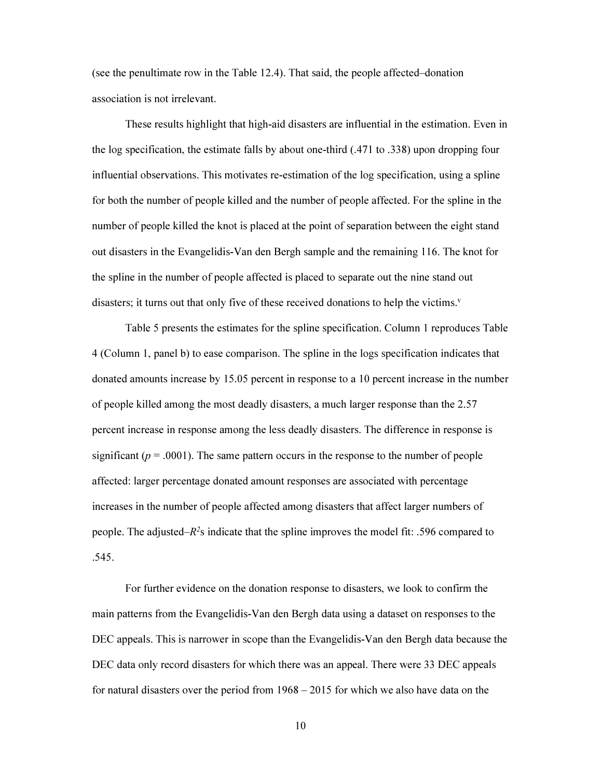(see the penultimate row in the Table 12.4). That said, the people affected–donation association is not irrelevant.

These results highlight that high-aid disasters are influential in the estimation. Even in the log specification, the estimate falls by about one-third (.471 to .338) upon dropping four influential observations. This motivates re-estimation of the log specification, using a spline for both the number of people killed and the number of people affected. For the spline in the number of people killed the knot is placed at the point of separation between the eight stand out disasters in the Evangelidis-Van den Bergh sample and the remaining 116. The knot for the spline in the number of people affected is placed to separate out the nine stand out disasters; it turns out that only five of these received donations to help the victims.<sup> $v$ </sup>

Table 5 presents the estimates for the spline specification. Column 1 reproduces Table 4 (Column 1, panel b) to ease comparison. The spline in the logs specification indicates that donated amounts increase by 15.05 percent in response to a 10 percent increase in the number of people killed among the most deadly disasters, a much larger response than the 2.57 percent increase in response among the less deadly disasters. The difference in response is significant ( $p = .0001$ ). The same pattern occurs in the response to the number of people affected: larger percentage donated amount responses are associated with percentage increases in the number of people affected among disasters that affect larger numbers of people. The adjusted– $R^2$ s indicate that the spline improves the model fit: .596 compared to .545.

For further evidence on the donation response to disasters, we look to confirm the main patterns from the Evangelidis-Van den Bergh data using a dataset on responses to the DEC appeals. This is narrower in scope than the Evangelidis-Van den Bergh data because the DEC data only record disasters for which there was an appeal. There were 33 DEC appeals for natural disasters over the period from 1968 – 2015 for which we also have data on the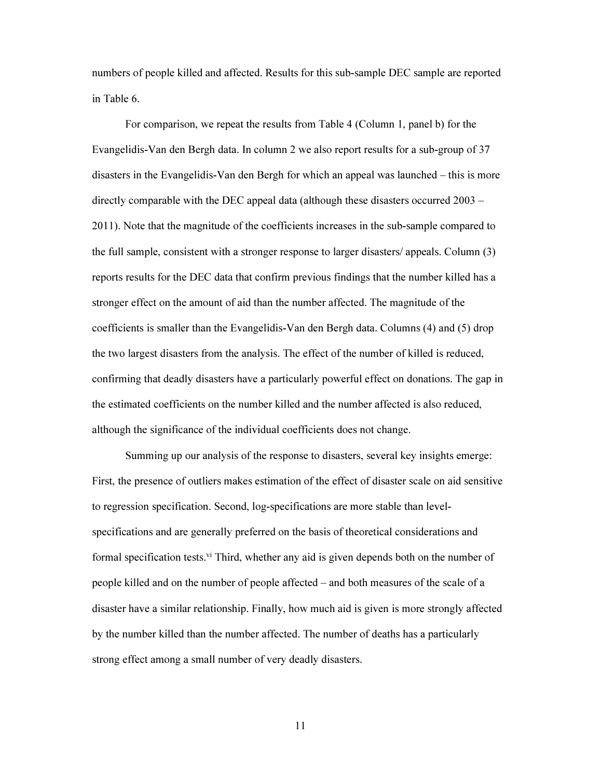numbers of people killed and affected. Results for this sub-sample DEC sample are reported in Table 6.

For comparison, we repeat the results from Table 4 (Column 1, panel b) for the Evangelidis-Van den Bergh data. In column 2 we also report results for a sub-group of 37 disasters in the Evangelidis-Van den Bergh for which an appeal was launched – this is more directly comparable with the DEC appeal data (although these disasters occurred 2003 – 2011). Note that the magnitude of the coefficients increases in the sub-sample compared to the full sample, consistent with a stronger response to larger disasters/ appeals. Column (3) reports results for the DEC data that confirm previous findings that the number killed has a stronger effect on the amount of aid than the number affected. The magnitude of the coefficients is smaller than the Evangelidis-Van den Bergh data. Columns (4) and (5) drop the two largest disasters from the analysis. The effect of the number of killed is reduced, confirming that deadly disasters have a particularly powerful effect on donations. The gap in the estimated coefficients on the number killed and the number affected is also reduced, although the significance of the individual coefficients does not change.

Summing up our analysis of the response to disasters, several key insights emerge: First, the presence of outliers makes estimation of the effect of disaster scale on aid sensitive to regression specification. Second, log-specifications are more stable than levelspecifications and are generally preferred on the basis of theoretical considerations and formal specification tests.<sup>vi</sup> Third, whether any aid is given depends both on the number of people killed and on the number of people affected – and both measures of the scale of a disaster have a similar relationship. Finally, how much aid is given is more strongly affected by the number killed than the number affected. The number of deaths has a particularly strong effect among a small number of very deadly disasters.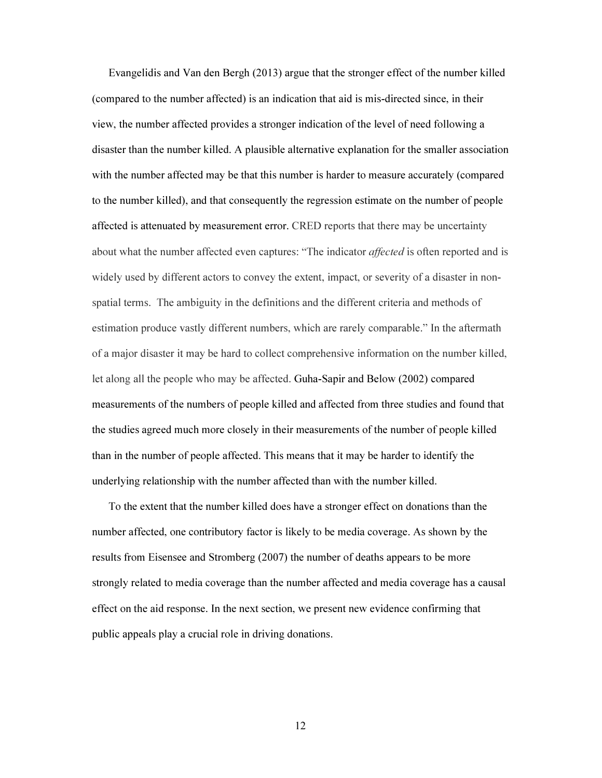Evangelidis and Van den Bergh (2013) argue that the stronger effect of the number killed (compared to the number affected) is an indication that aid is mis-directed since, in their view, the number affected provides a stronger indication of the level of need following a disaster than the number killed. A plausible alternative explanation for the smaller association with the number affected may be that this number is harder to measure accurately (compared to the number killed), and that consequently the regression estimate on the number of people affected is attenuated by measurement error. CRED reports that there may be uncertainty about what the number affected even captures: "The indicator *affected* is often reported and is widely used by different actors to convey the extent, impact, or severity of a disaster in nonspatial terms. The ambiguity in the definitions and the different criteria and methods of estimation produce vastly different numbers, which are rarely comparable." In the aftermath of a major disaster it may be hard to collect comprehensive information on the number killed, let along all the people who may be affected. Guha-Sapir and Below (2002) compared measurements of the numbers of people killed and affected from three studies and found that the studies agreed much more closely in their measurements of the number of people killed than in the number of people affected. This means that it may be harder to identify the underlying relationship with the number affected than with the number killed.

To the extent that the number killed does have a stronger effect on donations than the number affected, one contributory factor is likely to be media coverage. As shown by the results from Eisensee and Stromberg (2007) the number of deaths appears to be more strongly related to media coverage than the number affected and media coverage has a causal effect on the aid response. In the next section, we present new evidence confirming that public appeals play a crucial role in driving donations.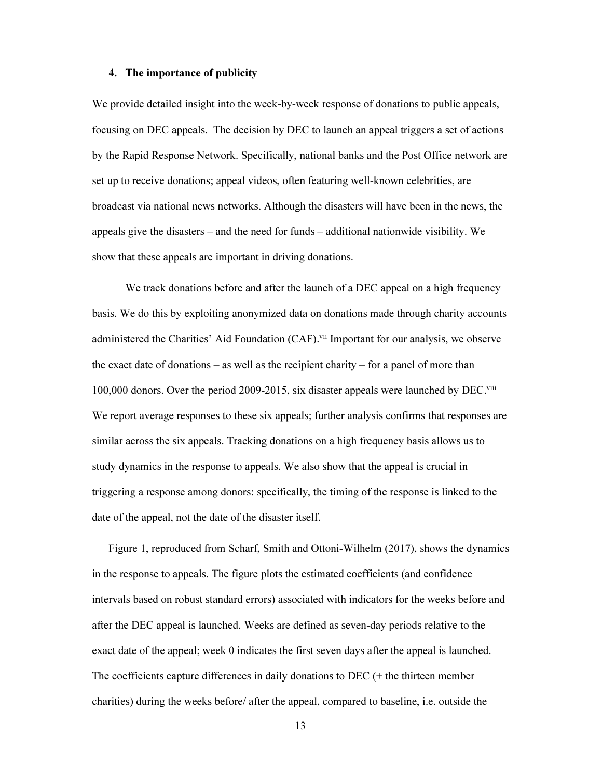#### 4. The importance of publicity

We provide detailed insight into the week-by-week response of donations to public appeals, focusing on DEC appeals. The decision by DEC to launch an appeal triggers a set of actions by the Rapid Response Network. Specifically, national banks and the Post Office network are set up to receive donations; appeal videos, often featuring well-known celebrities, are broadcast via national news networks. Although the disasters will have been in the news, the appeals give the disasters – and the need for funds – additional nationwide visibility. We show that these appeals are important in driving donations.

We track donations before and after the launch of a DEC appeal on a high frequency basis. We do this by exploiting anonymized data on donations made through charity accounts administered the Charities' Aid Foundation (CAF).<sup>vii</sup> Important for our analysis, we observe the exact date of donations – as well as the recipient charity – for a panel of more than 100,000 donors. Over the period 2009-2015, six disaster appeals were launched by DEC.<sup>viii</sup> We report average responses to these six appeals; further analysis confirms that responses are similar across the six appeals. Tracking donations on a high frequency basis allows us to study dynamics in the response to appeals. We also show that the appeal is crucial in triggering a response among donors: specifically, the timing of the response is linked to the date of the appeal, not the date of the disaster itself.

Figure 1, reproduced from Scharf, Smith and Ottoni-Wilhelm (2017), shows the dynamics in the response to appeals. The figure plots the estimated coefficients (and confidence intervals based on robust standard errors) associated with indicators for the weeks before and after the DEC appeal is launched. Weeks are defined as seven-day periods relative to the exact date of the appeal; week 0 indicates the first seven days after the appeal is launched. The coefficients capture differences in daily donations to DEC (+ the thirteen member charities) during the weeks before/ after the appeal, compared to baseline, i.e. outside the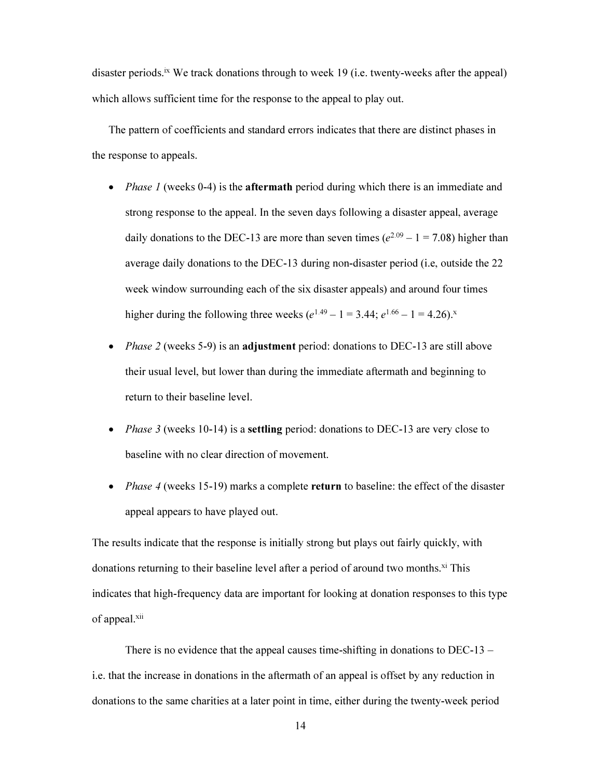disaster periods.<sup>ix</sup> We track donations through to week 19 (i.e. twenty-weeks after the appeal) which allows sufficient time for the response to the appeal to play out.

The pattern of coefficients and standard errors indicates that there are distinct phases in the response to appeals.

- *Phase 1* (weeks 0-4) is the **aftermath** period during which there is an immediate and strong response to the appeal. In the seven days following a disaster appeal, average daily donations to the DEC-13 are more than seven times  $(e^{2.09} - 1 = 7.08)$  higher than average daily donations to the DEC-13 during non-disaster period (i.e, outside the 22 week window surrounding each of the six disaster appeals) and around four times higher during the following three weeks  $(e^{1.49} - 1 = 3.44; e^{1.66} - 1 = 4.26)$ .
- *Phase 2* (weeks 5-9) is an **adjustment** period: donations to DEC-13 are still above their usual level, but lower than during the immediate aftermath and beginning to return to their baseline level.
- *Phase 3* (weeks 10-14) is a **settling** period: donations to DEC-13 are very close to baseline with no clear direction of movement.
- *Phase 4* (weeks 15-19) marks a complete return to baseline: the effect of the disaster appeal appears to have played out.

The results indicate that the response is initially strong but plays out fairly quickly, with donations returning to their baseline level after a period of around two months.<sup>xi</sup> This indicates that high-frequency data are important for looking at donation responses to this type of appeal.<sup>xii</sup>

There is no evidence that the appeal causes time-shifting in donations to DEC-13 – i.e. that the increase in donations in the aftermath of an appeal is offset by any reduction in donations to the same charities at a later point in time, either during the twenty-week period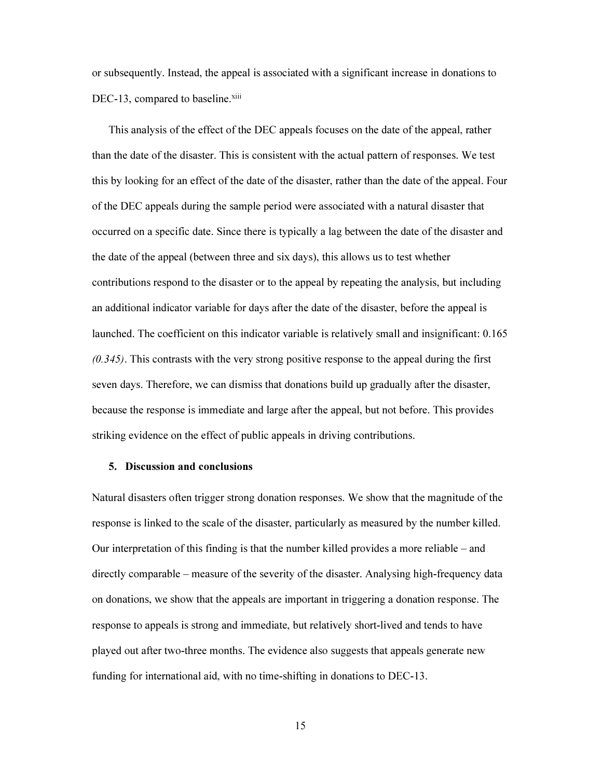or subsequently. Instead, the appeal is associated with a significant increase in donations to DEC-13, compared to baseline.<sup>xiii</sup>

This analysis of the effect of the DEC appeals focuses on the date of the appeal, rather than the date of the disaster. This is consistent with the actual pattern of responses. We test this by looking for an effect of the date of the disaster, rather than the date of the appeal. Four of the DEC appeals during the sample period were associated with a natural disaster that occurred on a specific date. Since there is typically a lag between the date of the disaster and the date of the appeal (between three and six days), this allows us to test whether contributions respond to the disaster or to the appeal by repeating the analysis, but including an additional indicator variable for days after the date of the disaster, before the appeal is launched. The coefficient on this indicator variable is relatively small and insignificant: 0.165  $(0.345)$ . This contrasts with the very strong positive response to the appeal during the first seven days. Therefore, we can dismiss that donations build up gradually after the disaster, because the response is immediate and large after the appeal, but not before. This provides striking evidence on the effect of public appeals in driving contributions.

#### 5. Discussion and conclusions

Natural disasters often trigger strong donation responses. We show that the magnitude of the response is linked to the scale of the disaster, particularly as measured by the number killed. Our interpretation of this finding is that the number killed provides a more reliable – and directly comparable – measure of the severity of the disaster. Analysing high-frequency data on donations, we show that the appeals are important in triggering a donation response. The response to appeals is strong and immediate, but relatively short-lived and tends to have played out after two-three months. The evidence also suggests that appeals generate new funding for international aid, with no time-shifting in donations to DEC-13.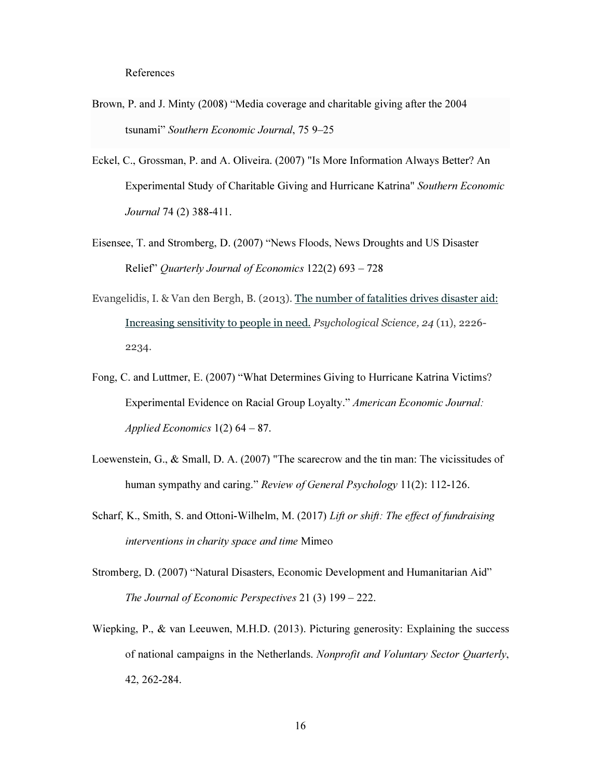- Brown, P. and J. Minty (2008) "Media coverage and charitable giving after the 2004 tsunami" Southern Economic Journal, 75 9–25
- Eckel, C., Grossman, P. and A. Oliveira. (2007) "Is More Information Always Better? An Experimental Study of Charitable Giving and Hurricane Katrina" Southern Economic Journal 74 (2) 388-411.
- Eisensee, T. and Stromberg, D. (2007) "News Floods, News Droughts and US Disaster Relief" Quarterly Journal of Economics 122(2) 693 – 728
- Evangelidis, I. & Van den Bergh, B. (2013). The number of fatalities drives disaster aid: Increasing sensitivity to people in need. Psychological Science, 24 (11), 2226- 2234.
- Fong, C. and Luttmer, E. (2007) "What Determines Giving to Hurricane Katrina Victims? Experimental Evidence on Racial Group Loyalty." American Economic Journal: Applied Economics  $1(2)$  64 – 87.
- Loewenstein, G., & Small, D. A. (2007) "The scarecrow and the tin man: The vicissitudes of human sympathy and caring." Review of General Psychology 11(2): 112-126.
- Scharf, K., Smith, S. and Ottoni-Wilhelm, M. (2017) Lift or shift: The effect of fundraising interventions in charity space and time Mimeo
- Stromberg, D. (2007) "Natural Disasters, Economic Development and Humanitarian Aid" The Journal of Economic Perspectives 21 (3) 199 – 222.
- Wiepking, P., & van Leeuwen, M.H.D. (2013). Picturing generosity: Explaining the success of national campaigns in the Netherlands. Nonprofit and Voluntary Sector Quarterly, 42, 262-284.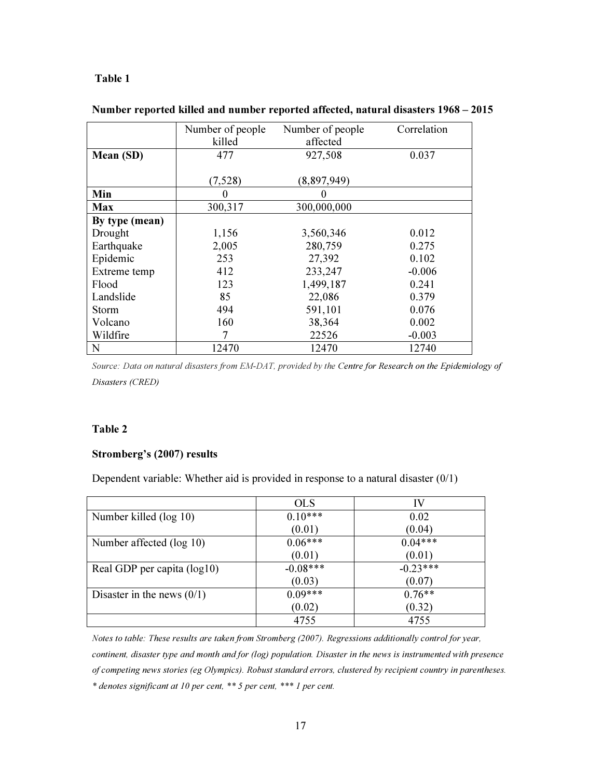#### Table 1

|                | Number of people | Number of people | Correlation |
|----------------|------------------|------------------|-------------|
|                | killed           | affected         |             |
| Mean (SD)      | 477              | 927,508          | 0.037       |
|                |                  |                  |             |
|                | (7,528)          | (8,897,949)      |             |
| Min            | 0                |                  |             |
| <b>Max</b>     | 300,317          | 300,000,000      |             |
| By type (mean) |                  |                  |             |
| Drought        | 1,156            | 3,560,346        | 0.012       |
| Earthquake     | 2,005            | 280,759          | 0.275       |
| Epidemic       | 253              | 27,392           | 0.102       |
| Extreme temp   | 412              | 233,247          | $-0.006$    |
| Flood          | 123              | 1,499,187        | 0.241       |
| Landslide      | 85               | 22,086           | 0.379       |
| <b>Storm</b>   | 494              | 591,101          | 0.076       |
| Volcano        | 160              | 38,364           | 0.002       |
| Wildfire       | 7                | 22526            | $-0.003$    |
| N              | 12470            | 12470            | 12740       |

#### Number reported killed and number reported affected, natural disasters 1968 – 2015

*Source: Data on natural disasters from EM-DAT, provided by the Centre for Research on the Epidemiology of Disasters (CRED)* 

#### Table 2

#### Stromberg's (2007) results

Dependent variable: Whether aid is provided in response to a natural disaster  $(0/1)$ 

|                              | <b>OLS</b> | IV         |
|------------------------------|------------|------------|
| Number killed (log 10)       | $0.10***$  | 0.02       |
|                              | (0.01)     | (0.04)     |
| Number affected (log 10)     | $0.06***$  | $0.04***$  |
|                              | (0.01)     | (0.01)     |
| Real GDP per capita (log10)  | $-0.08***$ | $-0.23***$ |
|                              | (0.03)     | (0.07)     |
| Disaster in the news $(0/1)$ | $0.09***$  | $0.76**$   |
|                              | (0.02)     | (0.32)     |
|                              | 4755       | 4755       |

*Notes to table: These results are taken from Stromberg (2007). Regressions additionally control for year, continent, disaster type and month and for (log) population. Disaster in the news is instrumented with presence of competing news stories (eg Olympics). Robust standard errors, clustered by recipient country in parentheses. \* denotes significant at 10 per cent, \*\* 5 per cent, \*\*\* 1 per cent.*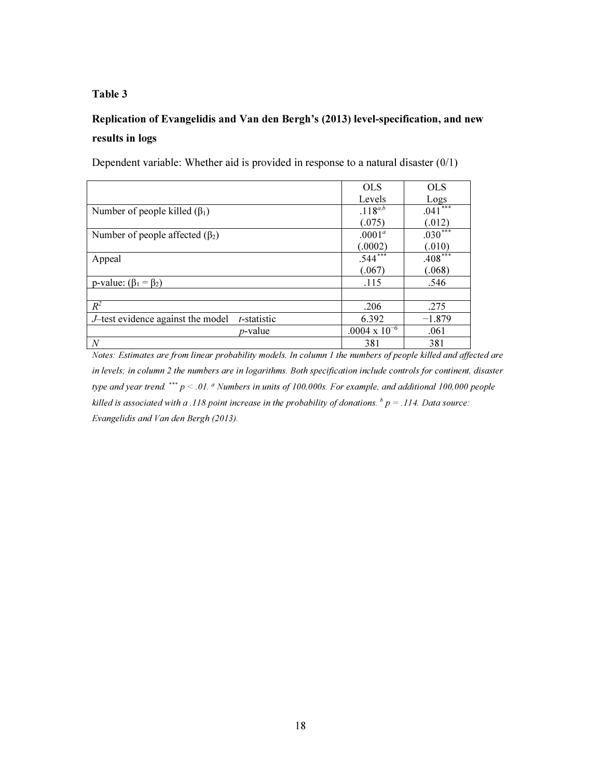#### Table 3

### Replication of Evangelidis and Van den Bergh's (2013) level-specification, and new results in logs

Dependent variable: Whether aid is provided in response to a natural disaster (0/1)

|                                                                  | <b>OLS</b>             | <b>OLS</b>              |
|------------------------------------------------------------------|------------------------|-------------------------|
|                                                                  | Levels                 | Logs                    |
| Number of people killed $(\beta_1)$                              | $.118^{a,b}$           | ***<br>.041             |
|                                                                  | (.075)                 | (.012)                  |
| Number of people affected $(\beta_2)$                            | $.0001^a$              | $.030^{\overline{***}}$ |
|                                                                  | (.0002)                | (.010)                  |
| Appeal                                                           | $.544$ <sup>***</sup>  | $.408***$               |
|                                                                  | (.067)                 | (.068)                  |
| p-value: $(\beta_1 = \beta_2)$                                   | .115                   | .546                    |
|                                                                  |                        |                         |
| $R^2$                                                            | .206                   | .275                    |
| <i>J</i> —test evidence against the model<br><i>t</i> -statistic | 6.392                  | $-1.879$                |
| <i>p</i> -value                                                  | $.0004 \times 10^{-6}$ | .061                    |
| $\cal N$                                                         | 381                    | 381                     |

*Notes: Estimates are from linear probability models. In column 1 the numbers of people killed and affected are in levels; in column 2 the numbers are in logarithms. Both specification include controls for continent, disaster type and year trend.* \*\*\* *p < .01.* <sup>a</sup>  *Numbers in units of 100,000s. For example, and additional 100,000 people*   $\emph{killed}$  is associated with a .118 point increase in the probability of donations.  $\emph{b}$   $p = .114$ . Data source: *Evangelidis and Van den Bergh (2013).*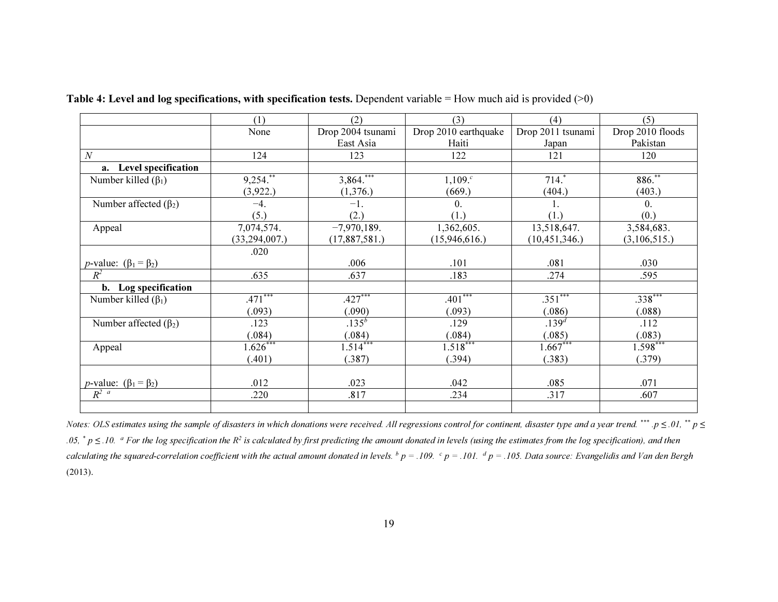|                                        | (1)                      | (2)               | (3)                  | (4)               | (5)              |
|----------------------------------------|--------------------------|-------------------|----------------------|-------------------|------------------|
|                                        | None                     | Drop 2004 tsunami | Drop 2010 earthquake | Drop 2011 tsunami | Drop 2010 floods |
|                                        |                          | East Asia         | Haiti                | Japan             | Pakistan         |
| $\cal N$                               | 124                      | 123               | 122                  | 121               | 120              |
| a. Level specification                 |                          |                   |                      |                   |                  |
| Number killed $(\beta_1)$              | $9,254.^{**}$            | $3,864$ .         | $1,109.^c$           | $714.$ *          | 886.**           |
|                                        | (3,922.)                 | (1,376.)          | (669.)               | (404.)            | (403.)           |
| Number affected $(\beta_2)$            | $-4.$                    | $-1.$             | $\theta$ .           | 1.                | $\mathbf{0}$ .   |
|                                        | (5.)                     | (2.)              | (1.)                 | (1.)              | (0.)             |
| Appeal                                 | 7,074,574.               | $-7,970,189.$     | 1,362,605.           | 13,518,647.       | 3,584,683.       |
|                                        | (33, 294, 007.)          | (17,887,581.)     | (15,946,616.)        | (10, 451, 346.)   | (3,106,515.)     |
|                                        | .020                     |                   |                      |                   |                  |
| <i>p</i> -value: $(\beta_1 = \beta_2)$ |                          | .006              | .101                 | .081              | .030             |
| $R^2$                                  | .635                     | .637              | .183                 | .274              | .595             |
| b. Log specification                   |                          |                   |                      |                   |                  |
| Number killed $(\beta_1)$              | $.471***$                | $.427***$         | $.401***$            | $.351***$         | $.338***$        |
|                                        | (.093)                   | (.090)            | (.093)               | (.086)            | (.088)           |
| Number affected $(\beta_2)$            | .123                     | $.135^{b}$        | .129                 | $.139^{d}$        | .112             |
|                                        | (.084)                   | (.084)            | (.084)               | (.085)            | (.083)           |
| Appeal                                 | $1.62\overline{6}^{***}$ | $1.514***$        | $1.518***$           | $1.667***$        | $1.598***$       |
|                                        | (.401)                   | (.387)            | (.394)               | (.383)            | (.379)           |
|                                        |                          |                   |                      |                   |                  |
| <i>p</i> -value: $(\beta_1 = \beta_2)$ | .012                     | .023              | .042                 | .085              | .071             |
| $R^{2}$ <sup>a</sup>                   | .220                     | .817              | .234                 | .317              | .607             |
|                                        |                          |                   |                      |                   |                  |

Table 4: Level and log specifications, with specification tests. Dependent variable = How much aid is provided  $(>0)$ 

Notes: OLS estimates using the sample of disasters in which donations were received. All regressions control for continent, disaster type and a year trend. \*\*\* .p  $\leq$  .01, \*\* p  $\leq$ .05,  $^*$  p  $\leq$  .10.  $^a$  For the log specification the R<sup>2</sup> is calculated by first predicting the amount donated in levels (using the estimates from the log specification), and then calculating the squared-correlation coefficient with the actual amount donated in levels.  $^b$  p = .109.  $^c$  p = .101.  $^d$  p = .105. Data source: Evangelidis and Van den Bergh (2013).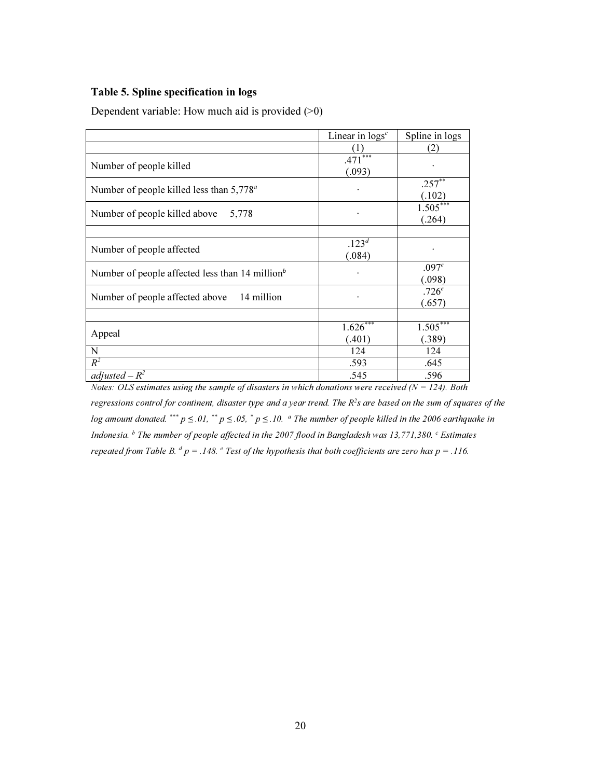#### Table 5. Spline specification in logs

Dependent variable: How much aid is provided  $(>0)$ 

|                                                       | Linear in $\log s^c$  | Spline in logs              |
|-------------------------------------------------------|-----------------------|-----------------------------|
|                                                       | $( \;   \; )$         | (2)                         |
| Number of people killed                               | ***<br>.471<br>(.093) |                             |
| Number of people killed less than $5,778^{\circ}$     |                       | $.257^{**}$<br>(.102)       |
| Number of people killed above<br>5,778                |                       | $1.505***$<br>(.264)        |
|                                                       |                       |                             |
| Number of people affected                             | $.123^{d}$<br>(.084)  |                             |
| Number of people affected less than 14 million $\phi$ |                       | .097 <sup>e</sup><br>(.098) |
| 14 million<br>Number of people affected above         | ٠                     | .726 <sup>e</sup><br>(.657) |
|                                                       |                       |                             |
| Appeal                                                | 1.626<br>(.401)       | $1.505***$<br>(.389)        |
| N                                                     | 124                   | 124                         |
| $R^2$                                                 | .593                  | .645                        |
| adjusted – $R^2$                                      | .545                  | .596                        |

Notes: OLS estimates using the sample of disasters in which donations were received ( $N = 124$ ). Both regressions control for continent, disaster type and a year trend. The  $R^2$ s are based on the sum of squares of the log amount donated. \*\*\*  $p \le 0.01$ , \*\*  $p \le 0.05$ , \*  $p \le 0.10$ .  $a$  The number of people killed in the 2006 earthquake in Indonesia.  $^b$  The number of people affected in the 2007 flood in Bangladesh was 13,771,380.  $^c$  Estimates

repeated from Table B.  $d$   $p = .148$ .  $e$  Test of the hypothesis that both coefficients are zero has  $p = .116$ .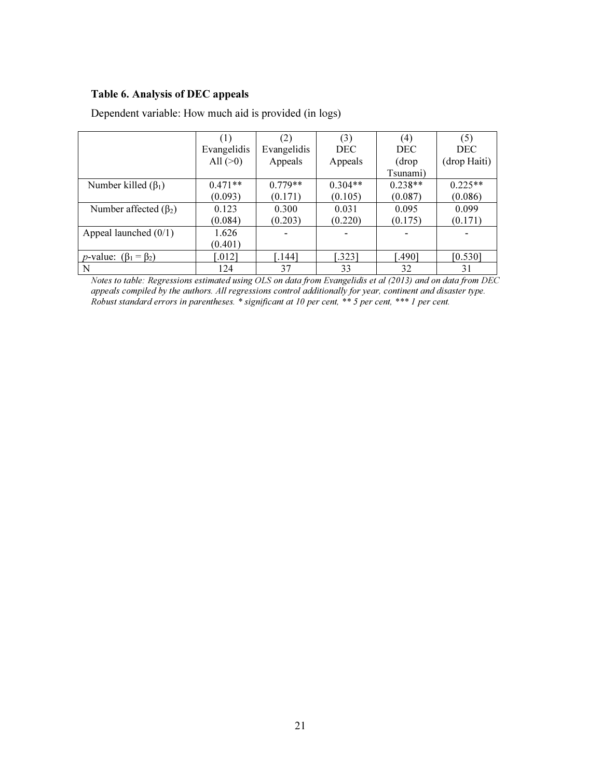#### Table 6. Analysis of DEC appeals

|                                        | (1)         | (2)                  | (3)        | (4)        | (5)          |
|----------------------------------------|-------------|----------------------|------------|------------|--------------|
|                                        | Evangelidis | Evangelidis          | <b>DEC</b> | <b>DEC</b> | <b>DEC</b>   |
|                                        | All $(>0)$  | Appeals              | Appeals    | (drop)     | (drop Haiti) |
|                                        |             |                      |            | Tsunami)   |              |
| Number killed $(\beta_1)$              | $0.471**$   | $0.779**$            | $0.304**$  | $0.238**$  | $0.225**$    |
|                                        | (0.093)     | (0.171)              | (0.105)    | (0.087)    | (0.086)      |
| Number affected $(\beta_2)$            | 0.123       | 0.300                | 0.031      | 0.095      | 0.099        |
|                                        | (0.084)     | (0.203)              | (0.220)    | (0.175)    | (0.171)      |
| Appeal launched $(0/1)$                | 1.626       |                      |            |            |              |
|                                        | (0.401)     |                      |            |            |              |
| <i>p</i> -value: $(\beta_1 = \beta_2)$ | [.012]      | $\left[ .144\right]$ | [.323]     | .490]      | [0.530]      |
| N                                      | 124         | 37                   | 33         | 32         | 31           |

Dependent variable: How much aid is provided (in logs)

Notes to table: Regressions estimated using OLS on data from Evangelidis et al (2013) and on data from DEC appeals compiled by the authors. All regressions control additionally for year, continent and disaster type. Robust standard errors in parentheses. \* significant at 10 per cent, \*\* 5 per cent, \*\*\* 1 per cent.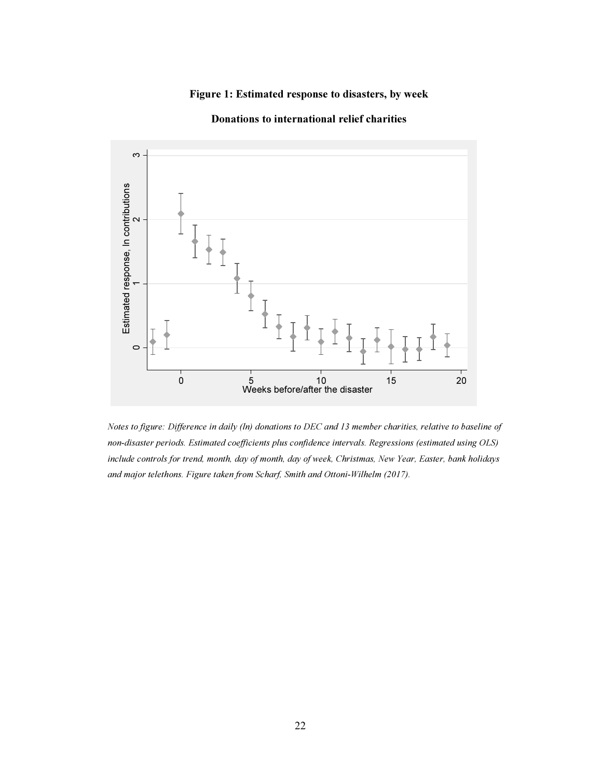#### Figure 1: Estimated response to disasters, by week



#### Donations to international relief charities

Notes to figure: Difference in daily (ln) donations to DEC and 13 member charities, relative to baseline of non-disaster periods. Estimated coefficients plus confidence intervals. Regressions (estimated using OLS) include controls for trend, month, day of month, day of week, Christmas, New Year, Easter, bank holidays and major telethons. Figure taken from Scharf, Smith and Ottoni-Wilhelm (2017).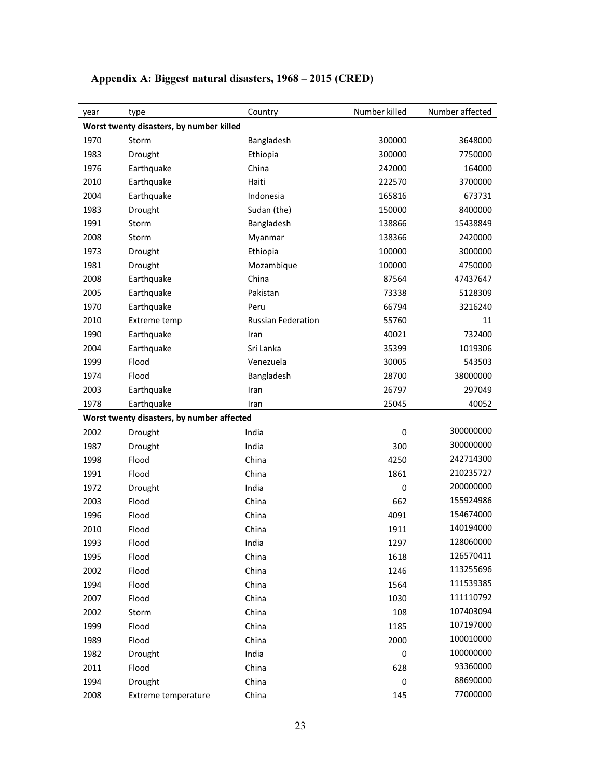| year                                     | type                                       | Country                   | Number killed | Number affected |  |
|------------------------------------------|--------------------------------------------|---------------------------|---------------|-----------------|--|
| Worst twenty disasters, by number killed |                                            |                           |               |                 |  |
| 1970                                     | Storm                                      | Bangladesh                | 300000        | 3648000         |  |
| 1983                                     | Drought                                    | Ethiopia                  | 300000        | 7750000         |  |
| 1976                                     | Earthquake                                 | China                     | 242000        | 164000          |  |
| 2010                                     | Earthquake                                 | Haiti                     | 222570        | 3700000         |  |
| 2004                                     | Earthquake                                 | Indonesia                 | 165816        | 673731          |  |
| 1983                                     | Drought                                    | Sudan (the)               | 150000        | 8400000         |  |
| 1991                                     | Storm                                      | Bangladesh                | 138866        | 15438849        |  |
| 2008                                     | Storm                                      | Myanmar                   | 138366        | 2420000         |  |
| 1973                                     | Drought                                    | Ethiopia                  | 100000        | 3000000         |  |
| 1981                                     | Drought                                    | Mozambique                | 100000        | 4750000         |  |
| 2008                                     | Earthquake                                 | China                     | 87564         | 47437647        |  |
| 2005                                     | Earthquake                                 | Pakistan                  | 73338         | 5128309         |  |
| 1970                                     | Earthquake                                 | Peru                      | 66794         | 3216240         |  |
| 2010                                     | Extreme temp                               | <b>Russian Federation</b> | 55760         | 11              |  |
| 1990                                     | Earthquake                                 | Iran                      | 40021         | 732400          |  |
| 2004                                     | Earthquake                                 | Sri Lanka                 | 35399         | 1019306         |  |
| 1999                                     | Flood                                      | Venezuela                 | 30005         | 543503          |  |
| 1974                                     | Flood                                      | Bangladesh                | 28700         | 38000000        |  |
| 2003                                     | Earthquake                                 | Iran                      | 26797         | 297049          |  |
| 1978                                     | Earthquake                                 | Iran                      | 25045         | 40052           |  |
|                                          | Worst twenty disasters, by number affected |                           |               |                 |  |
| 2002                                     | Drought                                    | India                     | $\pmb{0}$     | 300000000       |  |
| 1987                                     | Drought                                    | India                     | 300           | 300000000       |  |
| 1998                                     | Flood                                      | China                     | 4250          | 242714300       |  |
| 1991                                     | Flood                                      | China                     | 1861          | 210235727       |  |
| 1972                                     | Drought                                    | India                     | 0             | 200000000       |  |
| 2003                                     | Flood                                      | China                     | 662           | 155924986       |  |
| 1996                                     | Flood                                      | China                     | 4091          | 154674000       |  |
| 2010                                     | Flood                                      | China                     | 1911          | 140194000       |  |
| 1993                                     | Flood                                      | India                     | 1297          | 128060000       |  |
| 1995                                     | Flood                                      | China                     | 1618          | 126570411       |  |
| 2002                                     | Flood                                      | China                     | 1246          | 113255696       |  |
| 1994                                     | Flood                                      | China                     | 1564          | 111539385       |  |
| 2007                                     | Flood                                      | China                     | 1030          | 111110792       |  |
| 2002                                     | Storm                                      | China                     | 108           | 107403094       |  |
| 1999                                     | Flood                                      | China                     | 1185          | 107197000       |  |
| 1989                                     | Flood                                      | China                     | 2000          | 100010000       |  |
| 1982                                     | Drought                                    | India                     | 0             | 100000000       |  |
| 2011                                     | Flood                                      | China                     | 628           | 93360000        |  |
| 1994                                     | Drought                                    | China                     | 0             | 88690000        |  |
| 2008                                     | <b>Extreme temperature</b>                 | China                     | 145           | 77000000        |  |

# Appendix A: Biggest natural disasters, 1968 – 2015 (CRED)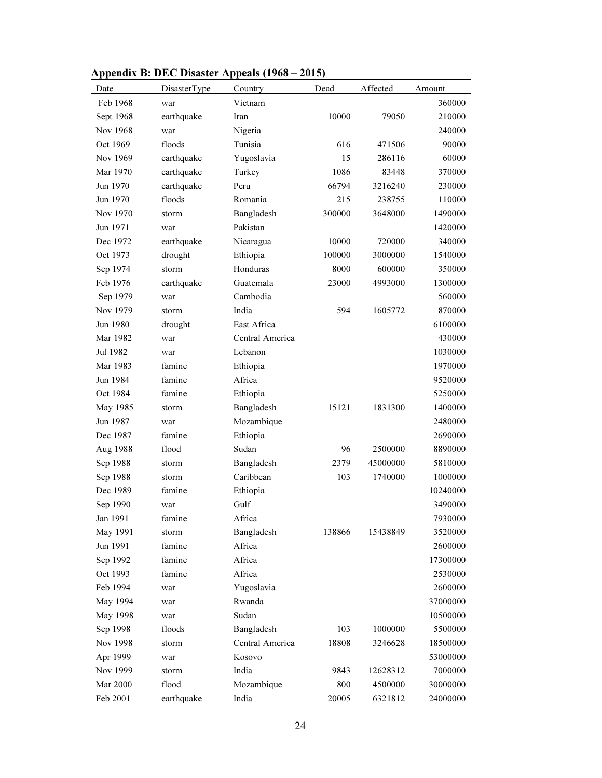| Date      | DisasterType | Country         | Dead   | Affected | Amount   |
|-----------|--------------|-----------------|--------|----------|----------|
| Feb 1968  | war          | Vietnam         |        |          | 360000   |
| Sept 1968 | earthquake   | Iran            | 10000  | 79050    | 210000   |
| Nov 1968  | war          | Nigeria         |        |          | 240000   |
| Oct 1969  | floods       | Tunisia         | 616    | 471506   | 90000    |
| Nov 1969  | earthquake   | Yugoslavia      | 15     | 286116   | 60000    |
| Mar 1970  | earthquake   | Turkey          | 1086   | 83448    | 370000   |
| Jun 1970  | earthquake   | Peru            | 66794  | 3216240  | 230000   |
| Jun 1970  | floods       | Romania         | 215    | 238755   | 110000   |
| Nov 1970  | storm        | Bangladesh      | 300000 | 3648000  | 1490000  |
| Jun 1971  | war          | Pakistan        |        |          | 1420000  |
| Dec 1972  | earthquake   | Nicaragua       | 10000  | 720000   | 340000   |
| Oct 1973  | drought      | Ethiopia        | 100000 | 3000000  | 1540000  |
| Sep 1974  | storm        | Honduras        | 8000   | 600000   | 350000   |
| Feb 1976  | earthquake   | Guatemala       | 23000  | 4993000  | 1300000  |
| Sep 1979  | war          | Cambodia        |        |          | 560000   |
| Nov 1979  | storm        | India           | 594    | 1605772  | 870000   |
| Jun 1980  | drought      | East Africa     |        |          | 6100000  |
| Mar 1982  | war          | Central America |        |          | 430000   |
| Jul 1982  | war          | Lebanon         |        |          | 1030000  |
| Mar 1983  | famine       | Ethiopia        |        |          | 1970000  |
| Jun 1984  | famine       | Africa          |        |          | 9520000  |
| Oct 1984  | famine       | Ethiopia        |        |          | 5250000  |
| May 1985  | storm        | Bangladesh      | 15121  | 1831300  | 1400000  |
| Jun 1987  | war          | Mozambique      |        |          | 2480000  |
| Dec 1987  | famine       | Ethiopia        |        |          | 2690000  |
| Aug 1988  | flood        | Sudan           | 96     | 2500000  | 8890000  |
| Sep 1988  | storm        | Bangladesh      | 2379   | 45000000 | 5810000  |
| Sep 1988  | storm        | Caribbean       | 103    | 1740000  | 1000000  |
| Dec 1989  | famine       | Ethiopia        |        |          | 10240000 |
| Sep 1990  | war          | Gulf            |        |          | 3490000  |
| Jan 1991  | famine       | Africa          |        |          | 7930000  |
| May 1991  | storm        | Bangladesh      | 138866 | 15438849 | 3520000  |
| Jun 1991  | famine       | Africa          |        |          | 2600000  |
| Sep 1992  | famine       | Africa          |        |          | 17300000 |
| Oct 1993  | famine       | Africa          |        |          | 2530000  |
| Feb 1994  | war          | Yugoslavia      |        |          | 2600000  |
| May 1994  | war          | Rwanda          |        |          | 37000000 |
| May 1998  | war          | Sudan           |        |          | 10500000 |
| Sep 1998  | floods       | Bangladesh      | 103    | 1000000  | 5500000  |
| Nov 1998  | storm        | Central America | 18808  | 3246628  | 18500000 |
| Apr 1999  | war          | Kosovo          |        |          | 53000000 |
| Nov 1999  | storm        | India           | 9843   | 12628312 | 7000000  |
| Mar 2000  | flood        | Mozambique      | 800    | 4500000  | 30000000 |
| Feb 2001  | earthquake   | India           | 20005  | 6321812  | 24000000 |

# Appendix B: DEC Disaster Appeals (1968 – 2015)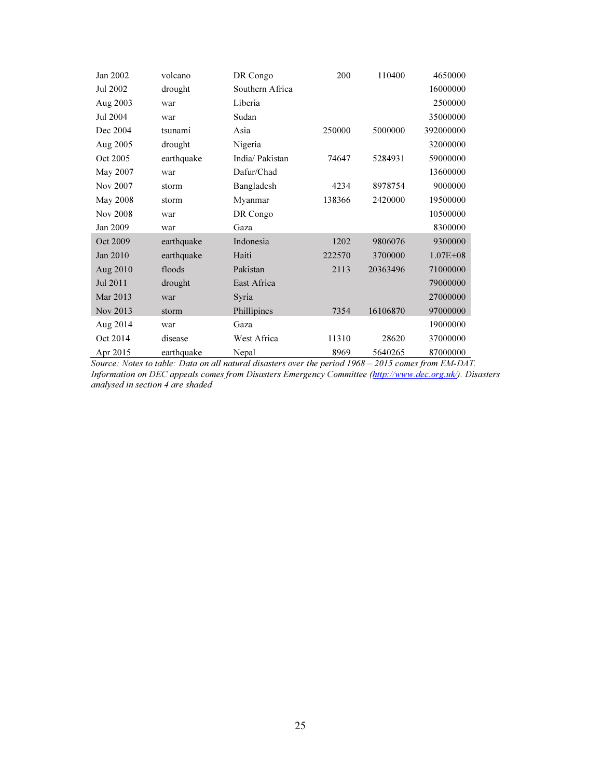| Jan 2002        | volcano    | DR Congo        | 200    | 110400   | 4650000      |
|-----------------|------------|-----------------|--------|----------|--------------|
| Jul 2002        | drought    | Southern Africa |        |          | 16000000     |
| Aug 2003        | war        | Liberia         |        |          | 2500000      |
| Jul 2004        | war        | Sudan           |        |          | 35000000     |
| Dec 2004        | tsunami    | Asia            | 250000 | 5000000  | 392000000    |
| Aug 2005        | drought    | Nigeria         |        |          | 32000000     |
| Oct 2005        | earthquake | India/ Pakistan | 74647  | 5284931  | 59000000     |
| May 2007        | war        | Dafur/Chad      |        |          | 13600000     |
| Nov 2007        | storm      | Bangladesh      | 4234   | 8978754  | 9000000      |
| May 2008        | storm      | Myanmar         | 138366 | 2420000  | 19500000     |
| <b>Nov 2008</b> | war        | DR Congo        |        |          | 10500000     |
| Jan 2009        | war        | Gaza            |        |          | 8300000      |
| Oct 2009        | earthquake | Indonesia       | 1202   | 9806076  | 9300000      |
| Jan 2010        | earthquake | Haiti           | 222570 | 3700000  | $1.07E + 08$ |
| Aug 2010        | floods     | Pakistan        | 2113   | 20363496 | 71000000     |
| Jul 2011        | drought    | East Africa     |        |          | 79000000     |
| Mar 2013        | war        | Syria           |        |          | 27000000     |
| Nov 2013        | storm      | Phillipines     | 7354   | 16106870 | 97000000     |
| Aug 2014        | war        | Gaza            |        |          | 19000000     |
| Oct 2014        | disease    | West Africa     | 11310  | 28620    | 37000000     |
| Apr 2015        | earthquake | Nepal           | 8969   | 5640265  | 87000000     |

Source: Notes to table: Data on all natural disasters over the period 1968 – 2015 comes from EM-DAT. Information on DEC appeals comes from Disasters Emergency Committee (http://www.dec.org.uk/). Disasters analysed in section 4 are shaded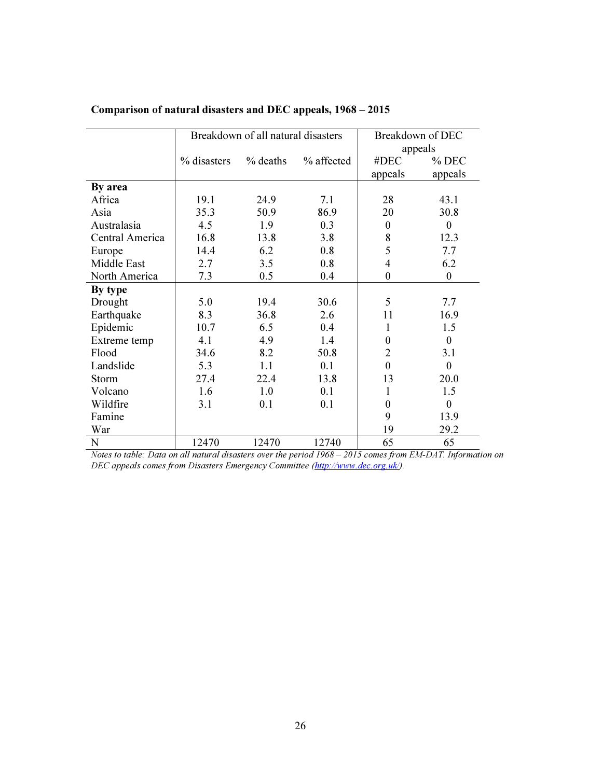|                 | Breakdown of all natural disasters |            |            | Breakdown of DEC |                  |
|-----------------|------------------------------------|------------|------------|------------------|------------------|
|                 |                                    |            |            | appeals          |                  |
|                 | % disasters                        | $%$ deaths | % affected | #DEC             | % DEC            |
|                 |                                    |            |            | appeals          | appeals          |
| By area         |                                    |            |            |                  |                  |
| Africa          | 19.1                               | 24.9       | 7.1        | 28               | 43.1             |
| Asia            | 35.3                               | 50.9       | 86.9       | 20               | 30.8             |
| Australasia     | 4.5                                | 1.9        | 0.3        | $\theta$         | $\mathbf{0}$     |
| Central America | 16.8                               | 13.8       | 3.8        | 8                | 12.3             |
| Europe          | 14.4                               | 6.2        | 0.8        | 5                | 7.7              |
| Middle East     | 2.7                                | 3.5        | 0.8        | $\overline{4}$   | 6.2              |
| North America   | 7.3                                | 0.5        | 0.4        | $\boldsymbol{0}$ | $\boldsymbol{0}$ |
| By type         |                                    |            |            |                  |                  |
| Drought         | 5.0                                | 19.4       | 30.6       | 5                | 7.7              |
| Earthquake      | 8.3                                | 36.8       | 2.6        | 11               | 16.9             |
| Epidemic        | 10.7                               | 6.5        | 0.4        | 1                | 1.5              |
| Extreme temp    | 4.1                                | 4.9        | 1.4        | $\theta$         | $\mathbf{0}$     |
| Flood           | 34.6                               | 8.2        | 50.8       | $\overline{2}$   | 3.1              |
| Landslide       | 5.3                                | 1.1        | 0.1        | $\mathbf{0}$     | $\mathbf{0}$     |
| <b>Storm</b>    | 27.4                               | 22.4       | 13.8       | 13               | 20.0             |
| Volcano         | 1.6                                | 1.0        | 0.1        | $\mathbf{1}$     | 1.5              |
| Wildfire        | 3.1                                | 0.1        | 0.1        | $\theta$         | $\mathbf{0}$     |
| Famine          |                                    |            |            | 9                | 13.9             |
| War             |                                    |            |            | 19               | 29.2             |
| N               | 12470                              | 12470      | 12740      | 65               | 65               |

#### Comparison of natural disasters and DEC appeals, 1968 – 2015

Notes to table: Data on all natural disasters over the period 1968 – 2015 comes from EM-DAT. Information on DEC appeals comes from Disasters Emergency Committee (http://www.dec.org.uk/).